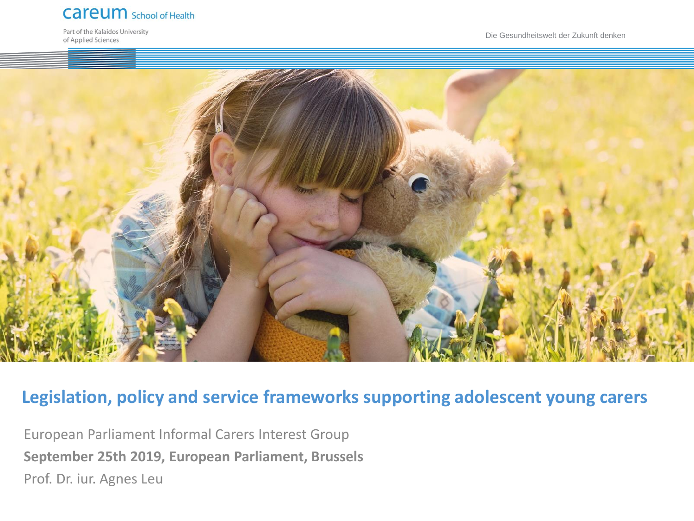#### **Careum** School of Health

Part of the Kalaidos University of Applied Sciences

Die Gesundheitswelt der Zukunft denken



#### **Legislation, policy and service frameworks supporting adolescent young carers**

European Parliament Informal Carers Interest Group **September 25th 2019, European Parliament, Brussels** Prof. Dr. iur. Agnes Leu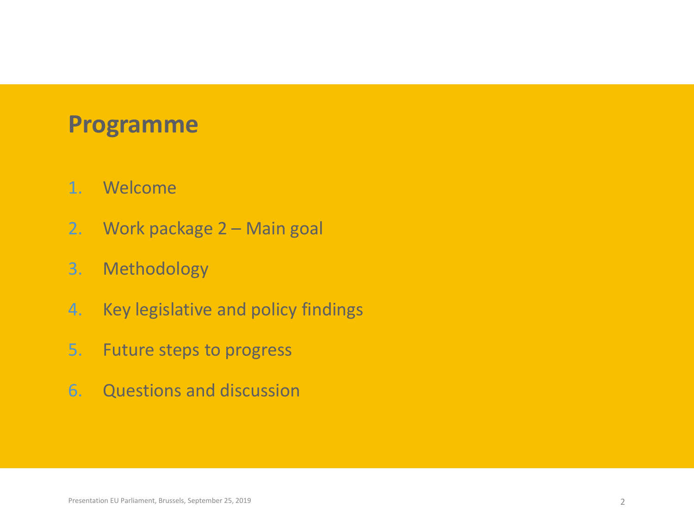# **Programme**

- 1. Welcome
- 2. Work package 2 Main goal
- 3. Methodology
- 4. Key legislative and policy findings
- 5. Future steps to progress
- 6. Questions and discussion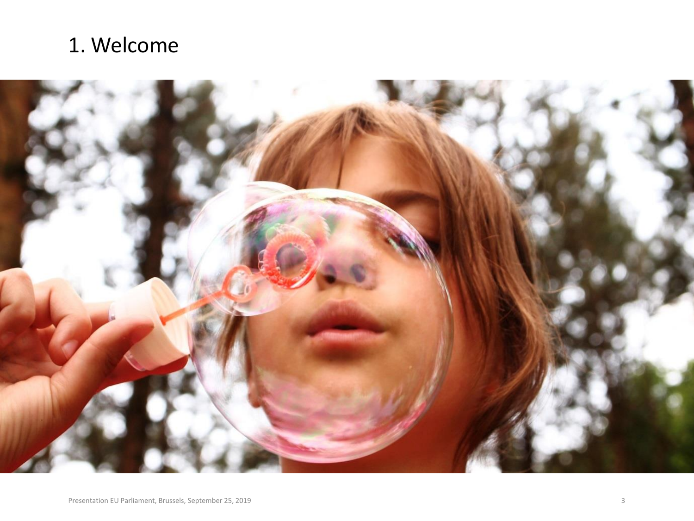## 1. Welcome

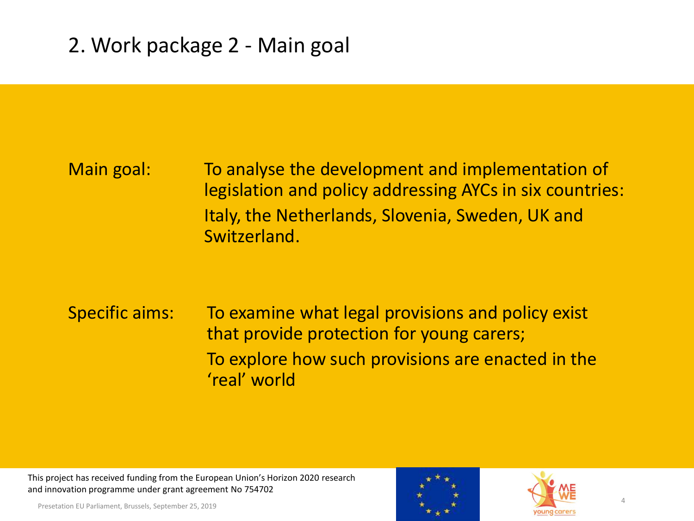## Main goal: To analyse the development and implementation of legislation and policy addressing AYCs in six countries: Italy, the Netherlands, Slovenia, Sweden, UK and Switzerland.

## Specific aims: To examine what legal provisions and policy exist that provide protection for young carers; To explore how such provisions are enacted in the 'real' world

This project has received funding from the European Union's Horizon 2020 research and innovation programme under grant agreement No 754702

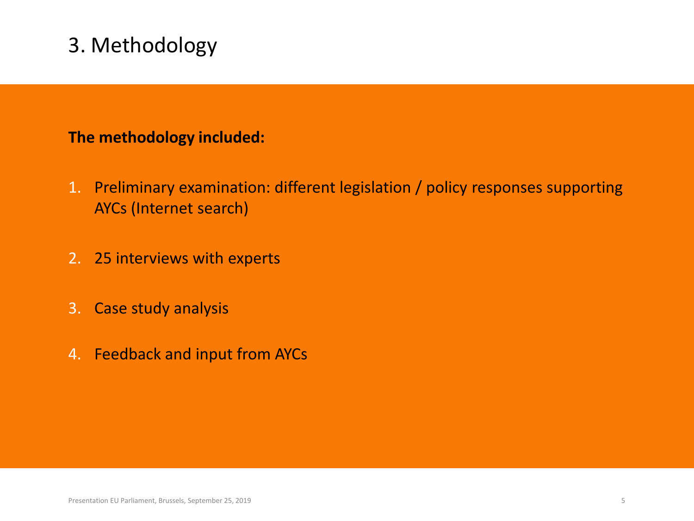## 3. Methodology

#### **The methodology included:**

- 1. Preliminary examination: different legislation / policy responses supporting AYCs (Internet search)
- 2. 25 interviews with experts
- 3. Case study analysis
- 4. Feedback and input from AYCs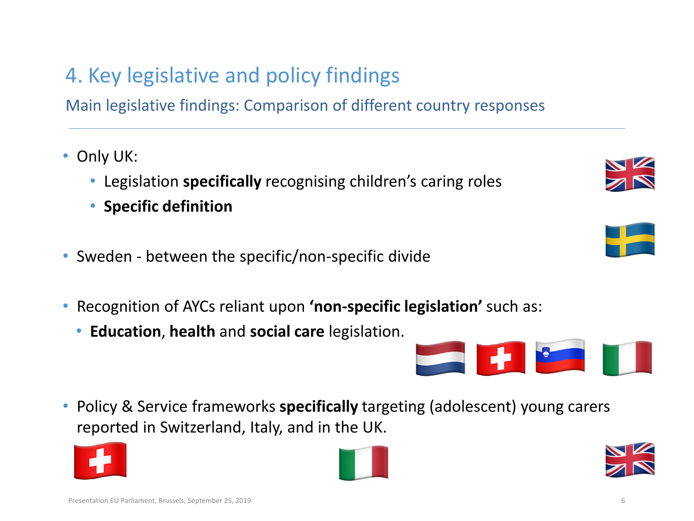Main legislative findings: Comparison of different country responses

- Only UK:
	- Legislation **specifically** recognising children's caring roles
	- **Specific definition**
- Sweden between the specific/non-specific divide
- Recognition of AYCs reliant upon **'non-specific legislation'** such as:
	- **Education**, **health** and **social care** legislation.

• Policy & Service frameworks **specifically** targeting (adolescent) young carers reported in Switzerland, Italy, and in the UK.







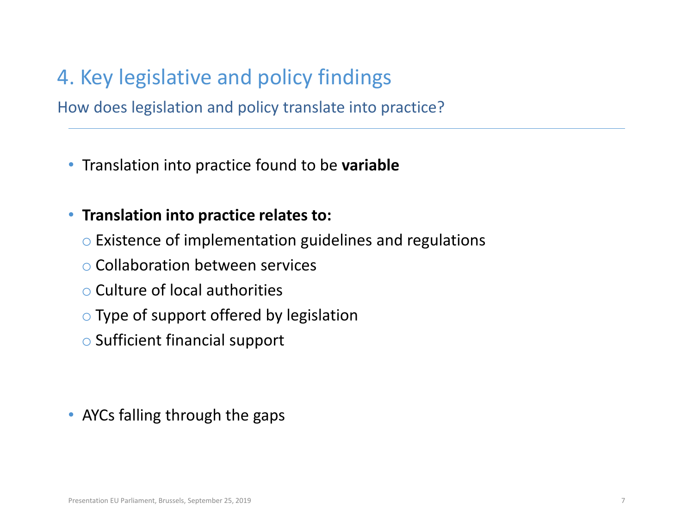How does legislation and policy translate into practice?

• Translation into practice found to be **variable** 

#### • **Translation into practice relates to:**

- o Existence of implementation guidelines and regulations
- o Collaboration between services
- o Culture of local authorities
- o Type of support offered by legislation
- o Sufficient financial support

• AYCs falling through the gaps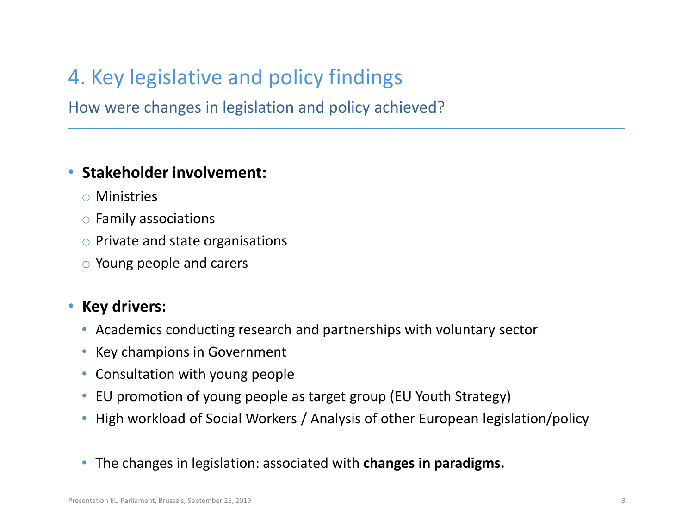How were changes in legislation and policy achieved?

#### • **Stakeholder involvement:**

- o Ministries
- o Family associations
- o Private and state organisations
- o Young people and carers

#### • **Key drivers:**

- Academics conducting research and partnerships with voluntary sector
- Key champions in Government
- Consultation with young people
- EU promotion of young people as target group (EU Youth Strategy)
- High workload of Social Workers / Analysis of other European legislation/policy
- The changes in legislation: associated with **changes in paradigms.**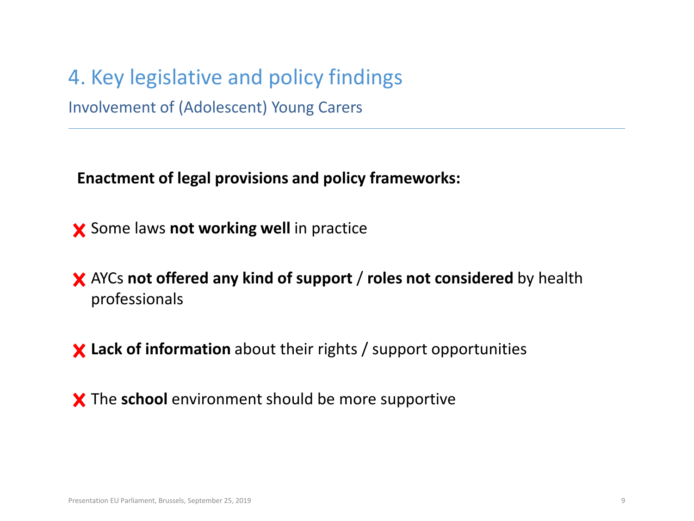4. Key legislative and policy findings Involvement of (Adolescent) Young Carers

**Enactment of legal provisions and policy frameworks:**

• Some laws **not working well** in practice

• AYCs **not offered any kind of support** / **roles not considered** by health professionals

• **Lack of information** about their rights / support opportunities

X The **school** environment should be more supportive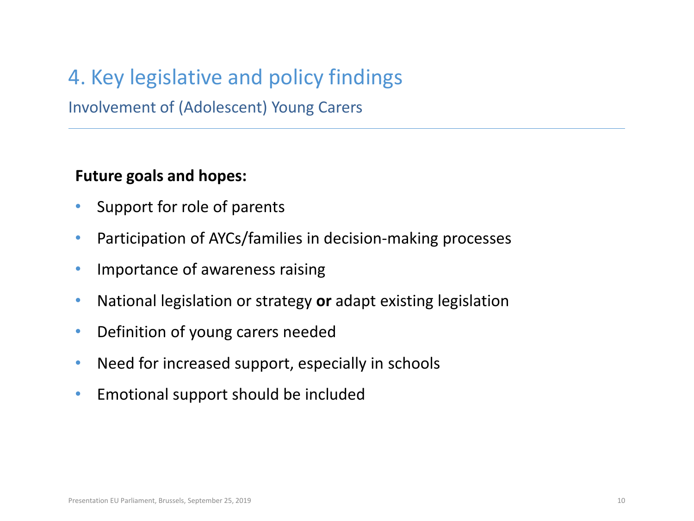Involvement of (Adolescent) Young Carers

#### **Future goals and hopes:**

- Support for role of parents
- Participation of AYCs/families in decision-making processes
- Importance of awareness raising
- National legislation or strategy **or** adapt existing legislation
- Definition of young carers needed
- Need for increased support, especially in schools
- Emotional support should be included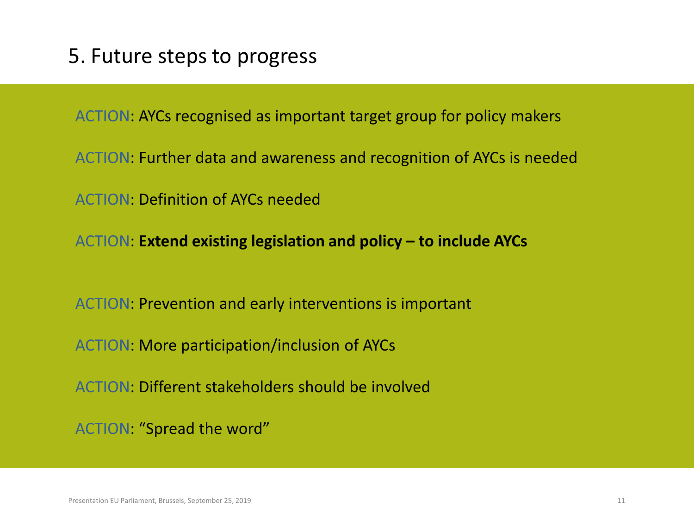ACTION: AYCs recognised as important target group for policy makers

ACTION: Further data and awareness and recognition of AYCs is needed

ACTION: Definition of AYCs needed

ACTION: **Extend existing legislation and policy – to include AYCs**

ACTION: Prevention and early interventions is important

ACTION: More participation/inclusion of AYCs

ACTION: Different stakeholders should be involved

ACTION: "Spread the word"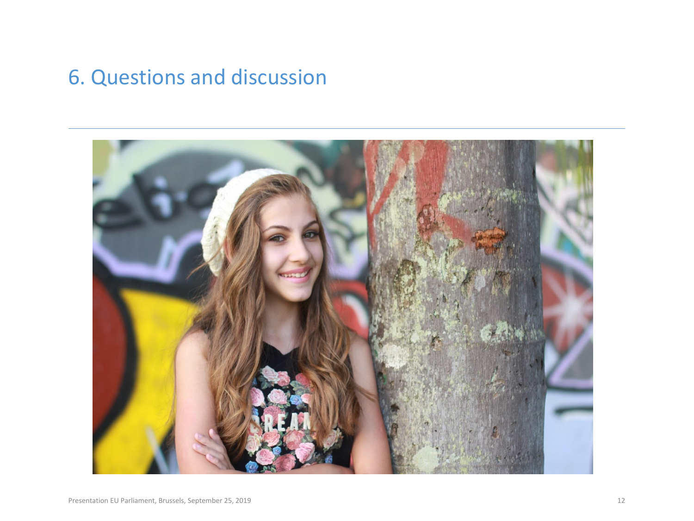## 6. Questions and discussion

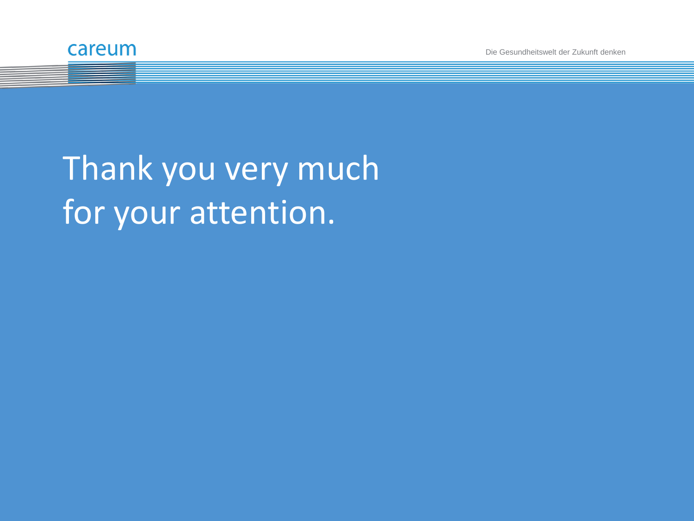

Die Gesundheitswelt der Zukunft denken

# Thank you very much for your attention.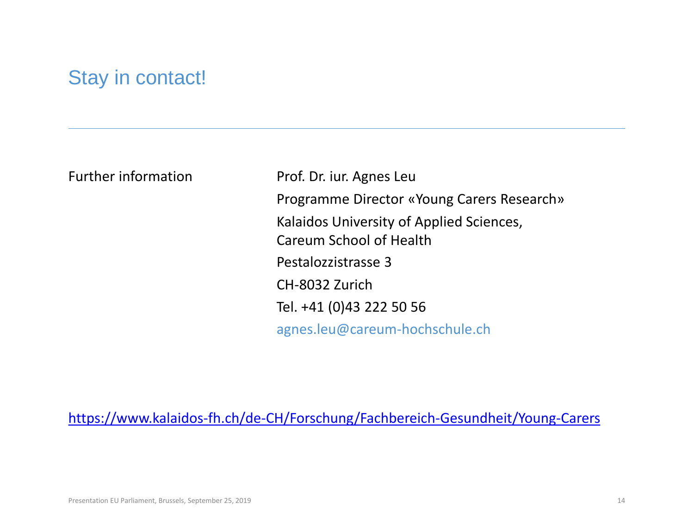### Stay in contact!

Further information Prof. Dr. iur. Agnes Leu Programme Director «Young Carers Research» Kalaidos University of Applied Sciences, Careum School of Health Pestalozzistrasse 3 CH-8032 Zurich Tel. +41 (0)43 222 50 56 agnes.leu@careum-hochschule.ch

<https://www.kalaidos-fh.ch/de-CH/Forschung/Fachbereich-Gesundheit/Young-Carers>